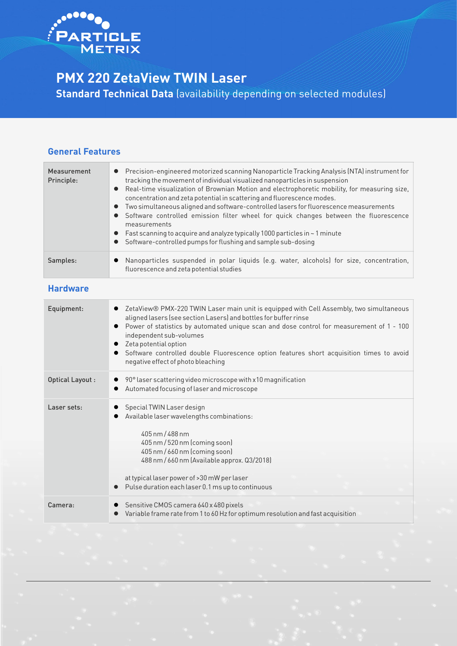

# **PMX 220 ZetaView TWIN Laser**

**Standard Technical Data** (availability depending on selected modules)

#### **General Features**

| Measurement<br>Principle: | • Precision-engineered motorized scanning Nanoparticle Tracking Analysis (NTA) instrument for<br>tracking the movement of individual visualized nanoparticles in suspension<br>• Real-time visualization of Brownian Motion and electrophoretic mobility, for measuring size,<br>concentration and zeta potential in scattering and fluorescence modes.<br>Two simultaneous aligned and software-controlled lasers for fluorescence measurements<br>Software controlled emission filter wheel for quick changes between the fluorescence<br>measurements<br>$\bullet$ Fast scanning to acquire and analyze typically 1000 particles in $\sim$ 1 minute<br>Software-controlled pumps for flushing and sample sub-dosing |
|---------------------------|------------------------------------------------------------------------------------------------------------------------------------------------------------------------------------------------------------------------------------------------------------------------------------------------------------------------------------------------------------------------------------------------------------------------------------------------------------------------------------------------------------------------------------------------------------------------------------------------------------------------------------------------------------------------------------------------------------------------|
| Samples:                  | Nanoparticles suspended in polar liquids (e.g. water, alcohols) for size, concentration,<br>fluorescence and zeta potential studies                                                                                                                                                                                                                                                                                                                                                                                                                                                                                                                                                                                    |

### **Hardware**

| Equipment:       | ZetaView® PMX-220 TWIN Laser main unit is equipped with Cell Assembly, two simultaneous<br>aligned lasers (see section Lasers) and bottles for buffer rinse<br>Power of statistics by automated unique scan and dose control for measurement of 1 - 100<br>independent sub-volumes<br>Zeta potential option<br>$\bullet$<br>Software controlled double Fluorescence option features short acquisition times to avoid<br>negative effect of photo bleaching |
|------------------|------------------------------------------------------------------------------------------------------------------------------------------------------------------------------------------------------------------------------------------------------------------------------------------------------------------------------------------------------------------------------------------------------------------------------------------------------------|
| Optical Layout : | 90° laser scattering video microscope with x10 magnification<br>Automated focusing of laser and microscope                                                                                                                                                                                                                                                                                                                                                 |
| Laser sets:      | Special TWIN Laser design<br>Available laser wavelengths combinations:<br>405 nm / 488 nm<br>405 nm / 520 nm (coming soon)<br>405 nm / 660 nm (coming soon)<br>488 nm / 660 nm (Available approx. Q3/2018)<br>at typical laser power of > 30 mW per laser<br>Pulse duration each laser 0.1 ms up to continuous                                                                                                                                             |
| Camera:          | Sensitive CMOS camera 640 x 480 pixels<br>Variable frame rate from 1 to 60 Hz for optimum resolution and fast acquisition                                                                                                                                                                                                                                                                                                                                  |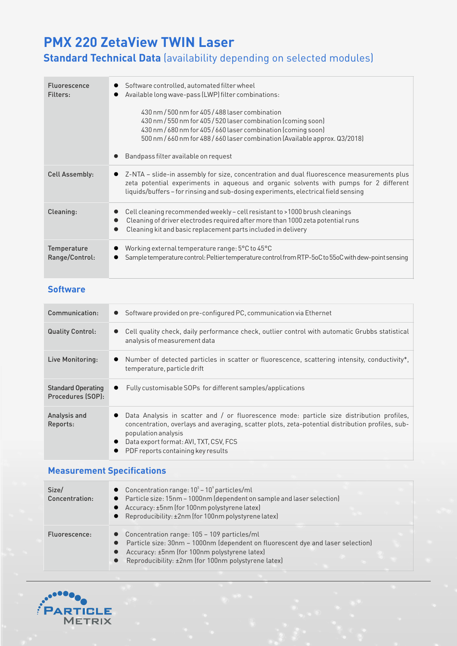# **PMX 220 ZetaView TWIN Laser**

# **Standard Technical Data** (availability depending on selected modules)

| <b>Fluorescence</b><br>Filters: | Software controlled, automated filter wheel<br>Available long wave-pass (LWP) filter combinations:<br>430 nm / 500 nm for 405 / 488 laser combination<br>430 nm / 550 nm for 405 / 520 laser combination (coming soon)<br>430 nm / 680 nm for 405 / 660 laser combination (coming soon)<br>500 nm / 660 nm for 488 / 660 laser combination (Available approx. Q3/2018)<br>Bandpass filter available on request |
|---------------------------------|----------------------------------------------------------------------------------------------------------------------------------------------------------------------------------------------------------------------------------------------------------------------------------------------------------------------------------------------------------------------------------------------------------------|
| <b>Cell Assembly:</b>           | Z-NTA - slide-in assembly for size, concentration and dual fluorescence measurements plus<br>zeta potential experiments in aqueous and organic solvents with pumps for 2 different<br>liquids/buffers-for rinsing and sub-dosing experiments, electrical field sensing                                                                                                                                         |
| Cleaning:                       | Cell cleaning recommended weekly - cell resistant to >1000 brush cleanings<br>Cleaning of driver electrodes required after more than 1000 zeta potential runs<br>Cleaning kit and basic replacement parts included in delivery                                                                                                                                                                                 |
| Temperature<br>Range/Control:   | Working external temperature range: 5°C to 45°C<br>Sample temperature control: Peltier temperature control from RTP-5oC to 55oC with dew-point sensing                                                                                                                                                                                                                                                         |

### **Software**

| Communication:                                 | • Software provided on pre-configured PC, communication via Ethernet                                                                                                                                                                                                                                                           |
|------------------------------------------------|--------------------------------------------------------------------------------------------------------------------------------------------------------------------------------------------------------------------------------------------------------------------------------------------------------------------------------|
| <b>Quality Control:</b>                        | Cell quality check, daily performance check, outlier control with automatic Grubbs statistical<br>analysis of measurement data                                                                                                                                                                                                 |
| Live Monitoring:                               | Number of detected particles in scatter or fluorescence, scattering intensity, conductivity*,<br>temperature, particle drift                                                                                                                                                                                                   |
| <b>Standard Operating</b><br>Procedures (SOP): | Fully customisable SOPs for different samples/applications<br>$\bullet$                                                                                                                                                                                                                                                        |
| Analysis and<br>Reports:                       | Data Analysis in scatter and / or fluorescence mode: particle size distribution profiles,<br>$\bullet$<br>concentration, overlays and averaging, scatter plots, zeta-potential distribution profiles, sub-<br>population analysis<br>Data export format: AVI, TXT, CSV, FCS<br>$\bullet$<br>PDF reports containing key results |

## **Measurement Specifications**

| Size/<br>Concentration: | • Concentration range: $10^5 - 10^9$ particles/ml<br>• Particle size: 15nm - 1000nm (dependent on sample and laser selection)<br>• Accuracy: ±5nm (for 100nm polystyrene latex)<br>• Reproducibility: ±2nm (for 100nm polystyrene latex)                            |
|-------------------------|---------------------------------------------------------------------------------------------------------------------------------------------------------------------------------------------------------------------------------------------------------------------|
| Fluorescence:           | • Concentration range: $105 - 109$ particles/ml<br>Particle size: 30nm - 1000nm (dependent on fluorescent dye and laser selection)<br>$\bullet$<br>Accuracy: ±5nm (for 100nm polystyrene latex)<br>Reproducibility: ±2nm (for 100nm polystyrene latex)<br>$\bullet$ |